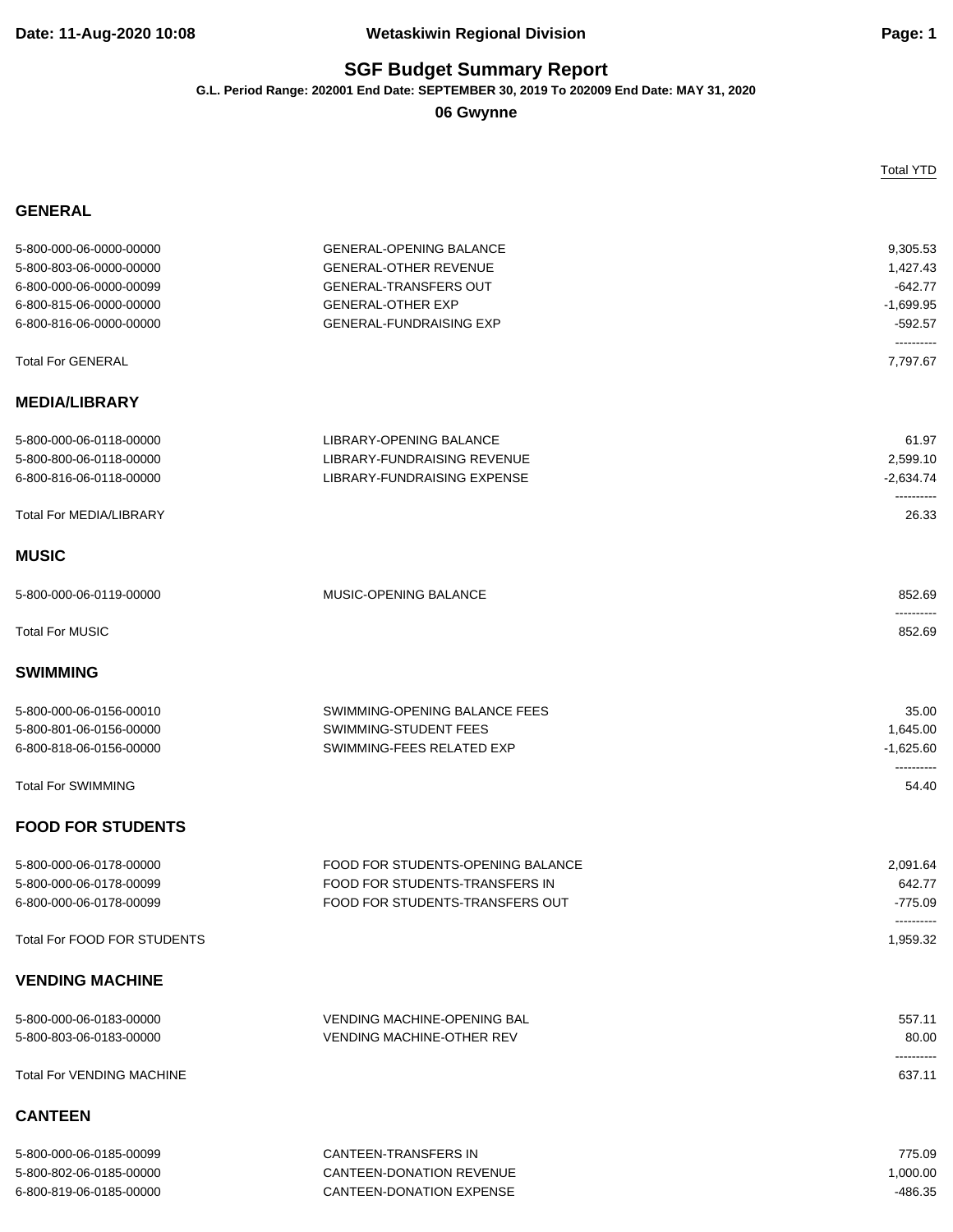### **Date: 11-Aug-2020 10:08 Wetaskiwin Regional Division Page: 1**

# **SGF Budget Summary Report**

**G.L. Period Range: 202001 End Date: SEPTEMBER 30, 2019 To 202009 End Date: MAY 31, 2020**

**06 Gwynne**

#### **GENERAL**

Total YTD

| 5-800-000-06-0000-00000            | <b>GENERAL-OPENING BALANCE</b>     | 9,305.53             |
|------------------------------------|------------------------------------|----------------------|
| 5-800-803-06-0000-00000            | <b>GENERAL-OTHER REVENUE</b>       | 1,427.43             |
| 6-800-000-06-0000-00099            | <b>GENERAL-TRANSFERS OUT</b>       | $-642.77$            |
| 6-800-815-06-0000-00000            | <b>GENERAL-OTHER EXP</b>           | $-1,699.95$          |
| 6-800-816-06-0000-00000            | <b>GENERAL-FUNDRAISING EXP</b>     | $-592.57$            |
|                                    |                                    | ----------           |
| <b>Total For GENERAL</b>           |                                    | 7,797.67             |
| <b>MEDIA/LIBRARY</b>               |                                    |                      |
| 5-800-000-06-0118-00000            | LIBRARY-OPENING BALANCE            | 61.97                |
| 5-800-800-06-0118-00000            | <b>LIBRARY-FUNDRAISING REVENUE</b> | 2,599.10             |
| 6-800-816-06-0118-00000            | LIBRARY-FUNDRAISING EXPENSE        | $-2,634.74$          |
| <b>Total For MEDIA/LIBRARY</b>     |                                    | 26.33                |
| <b>MUSIC</b>                       |                                    |                      |
| 5-800-000-06-0119-00000            | MUSIC-OPENING BALANCE              | 852.69               |
| <b>Total For MUSIC</b>             |                                    | ----------<br>852.69 |
| <b>SWIMMING</b>                    |                                    |                      |
| 5-800-000-06-0156-00010            | SWIMMING-OPENING BALANCE FEES      | 35.00                |
| 5-800-801-06-0156-00000            | SWIMMING-STUDENT FEES              | 1,645.00             |
| 6-800-818-06-0156-00000            | SWIMMING-FEES RELATED EXP          | $-1,625.60$          |
|                                    |                                    |                      |
| <b>Total For SWIMMING</b>          |                                    | 54.40                |
| <b>FOOD FOR STUDENTS</b>           |                                    |                      |
| 5-800-000-06-0178-00000            | FOOD FOR STUDENTS-OPENING BALANCE  | 2,091.64             |
| 5-800-000-06-0178-00099            | FOOD FOR STUDENTS-TRANSFERS IN     | 642.77               |
| 6-800-000-06-0178-00099            | FOOD FOR STUDENTS-TRANSFERS OUT    | $-775.09$            |
| <b>Total For FOOD FOR STUDENTS</b> |                                    | 1,959.32             |
| <b>VENDING MACHINE</b>             |                                    |                      |
| 5-800-000-06-0183-00000            | <b>VENDING MACHINE-OPENING BAL</b> | 557.11               |
| 5-800-803-06-0183-00000            | <b>VENDING MACHINE-OTHER REV</b>   | 80.00                |
| <b>Total For VENDING MACHINE</b>   |                                    | 637.11               |
| <b>CANTEEN</b>                     |                                    |                      |
| 5-800-000-06-0185-00099            | CANTEEN-TRANSFERS IN               | 775.09               |
| 5-800-802-06-0185-00000            | CANTEEN-DONATION REVENUE           | 1,000.00             |
| 6-800-819-06-0185-00000            | <b>CANTEEN-DONATION EXPENSE</b>    | $-486.35$            |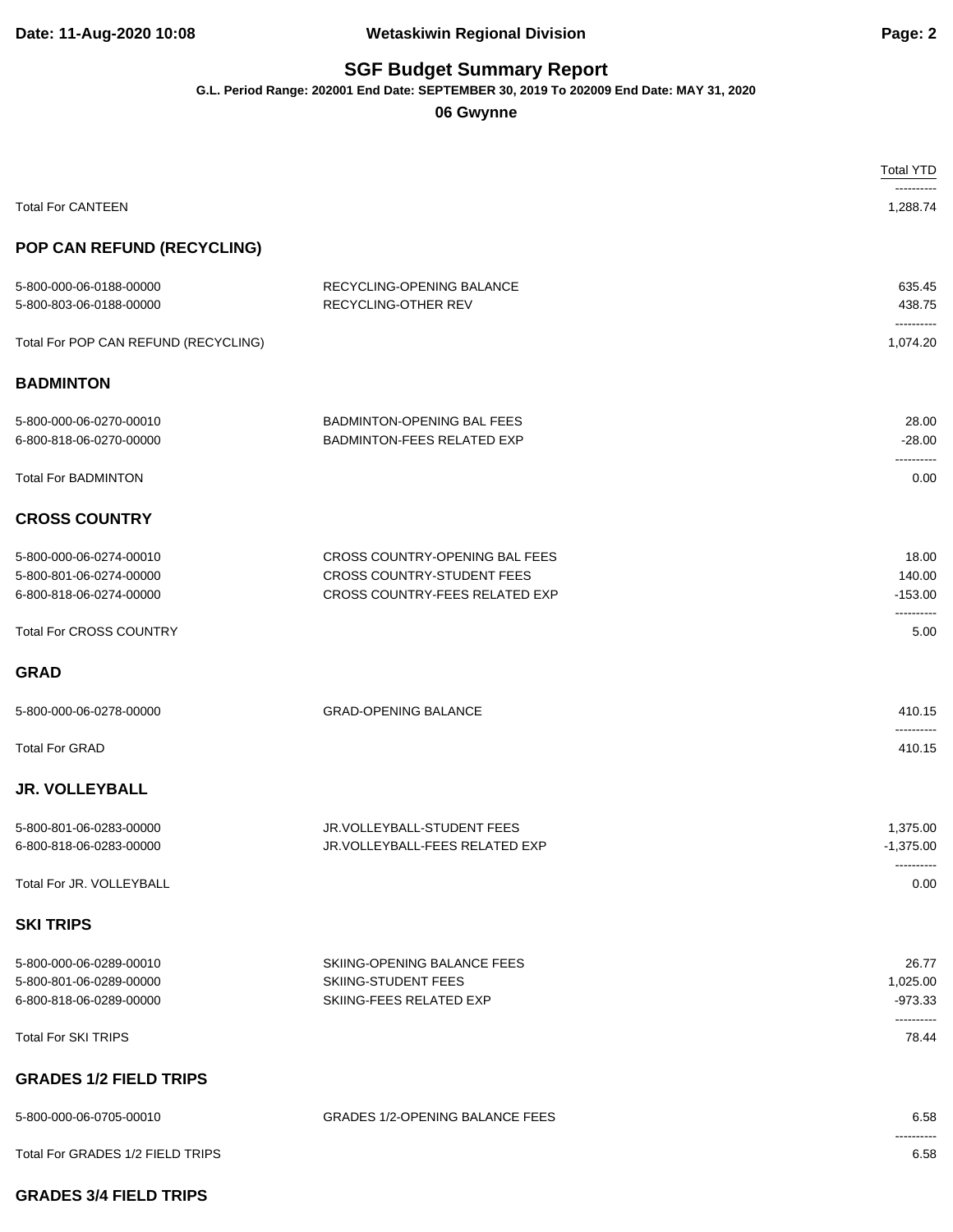### **Date: 11-Aug-2020 10:08 Wetaskiwin Regional Division Page: 2**

# **SGF Budget Summary Report**

**G.L. Period Range: 202001 End Date: SEPTEMBER 30, 2019 To 202009 End Date: MAY 31, 2020**

#### **06 Gwynne**

|                                                                               |                                                                                                              | <b>Total YTD</b>                             |
|-------------------------------------------------------------------------------|--------------------------------------------------------------------------------------------------------------|----------------------------------------------|
| <b>Total For CANTEEN</b>                                                      |                                                                                                              | 1,288.74                                     |
| POP CAN REFUND (RECYCLING)                                                    |                                                                                                              |                                              |
| 5-800-000-06-0188-00000<br>5-800-803-06-0188-00000                            | RECYCLING-OPENING BALANCE<br>RECYCLING-OTHER REV                                                             | 635.45<br>438.75                             |
| Total For POP CAN REFUND (RECYCLING)                                          |                                                                                                              | ----------<br>1,074.20                       |
| <b>BADMINTON</b>                                                              |                                                                                                              |                                              |
| 5-800-000-06-0270-00010<br>6-800-818-06-0270-00000                            | BADMINTON-OPENING BAL FEES<br><b>BADMINTON-FEES RELATED EXP</b>                                              | 28.00<br>$-28.00$<br>----------              |
| <b>Total For BADMINTON</b>                                                    |                                                                                                              | 0.00                                         |
| <b>CROSS COUNTRY</b>                                                          |                                                                                                              |                                              |
| 5-800-000-06-0274-00010<br>5-800-801-06-0274-00000<br>6-800-818-06-0274-00000 | CROSS COUNTRY-OPENING BAL FEES<br><b>CROSS COUNTRY-STUDENT FEES</b><br><b>CROSS COUNTRY-FEES RELATED EXP</b> | 18.00<br>140.00<br>$-153.00$<br>----------   |
| <b>Total For CROSS COUNTRY</b>                                                |                                                                                                              | 5.00                                         |
| <b>GRAD</b>                                                                   |                                                                                                              |                                              |
| 5-800-000-06-0278-00000                                                       | <b>GRAD-OPENING BALANCE</b>                                                                                  | 410.15<br>                                   |
| <b>Total For GRAD</b>                                                         |                                                                                                              | 410.15                                       |
| <b>JR. VOLLEYBALL</b>                                                         |                                                                                                              |                                              |
| 5-800-801-06-0283-00000<br>6-800-818-06-0283-00000                            | JR.VOLLEYBALL-STUDENT FEES<br>JR.VOLLEYBALL-FEES RELATED EXP                                                 | 1,375.00<br>$-1,375.00$                      |
| Total For JR. VOLLEYBALL                                                      |                                                                                                              | ----------<br>0.00                           |
| <b>SKI TRIPS</b>                                                              |                                                                                                              |                                              |
| 5-800-000-06-0289-00010<br>5-800-801-06-0289-00000<br>6-800-818-06-0289-00000 | SKIING-OPENING BALANCE FEES<br>SKIING-STUDENT FEES<br>SKIING-FEES RELATED EXP                                | 26.77<br>1,025.00<br>$-973.33$<br>---------- |
| <b>Total For SKI TRIPS</b>                                                    |                                                                                                              | 78.44                                        |
| <b>GRADES 1/2 FIELD TRIPS</b>                                                 |                                                                                                              |                                              |
| 5-800-000-06-0705-00010                                                       | <b>GRADES 1/2-OPENING BALANCE FEES</b>                                                                       | 6.58<br>-------                              |
| Total For GRADES 1/2 FIELD TRIPS                                              |                                                                                                              | 6.58                                         |

#### **GRADES 3/4 FIELD TRIPS**